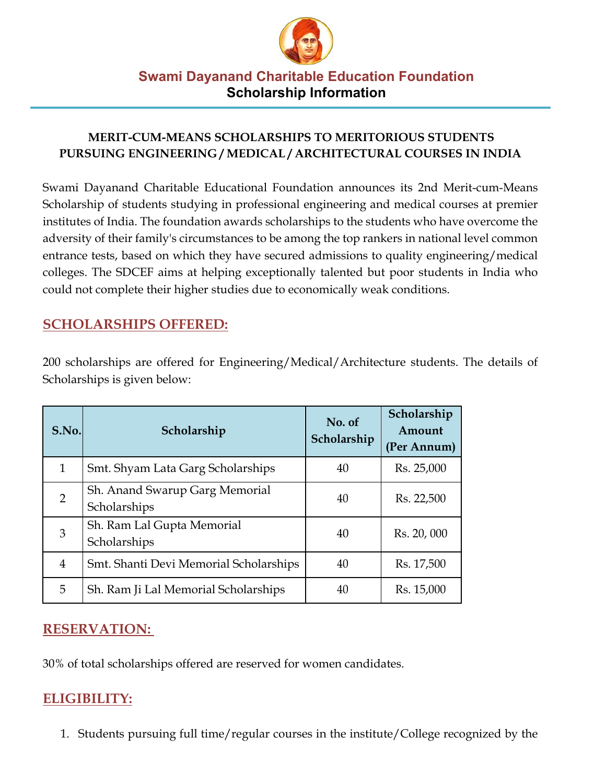

#### **MERIT-CUM-MEANS SCHOLARSHIPS TO MERITORIOUS STUDENTS PURSUING ENGINEERING / MEDICAL / ARCHITECTURAL COURSES IN INDIA**

Swami Dayanand Charitable Educational Foundation announces its 2nd Merit-cum-Means Scholarship of students studying in professional engineering and medical courses at premier institutes of India. The foundation awards scholarships to the students who have overcome the adversity of their family's circumstances to be among the top rankers in national level common entrance tests, based on which they have secured admissions to quality engineering/medical colleges. The SDCEF aims at helping exceptionally talented but poor students in India who could not complete their higher studies due to economically weak conditions.

# **SCHOLARSHIPS OFFERED:**

| S.No.          | Scholarship                                    | No. of<br>Scholarship | Scholarship<br>Amount<br>(Per Annum) |
|----------------|------------------------------------------------|-----------------------|--------------------------------------|
| $\mathbf{1}$   | Smt. Shyam Lata Garg Scholarships              | 40                    | Rs. 25,000                           |
| 2              | Sh. Anand Swarup Garg Memorial<br>Scholarships | 40                    | Rs. 22,500                           |
| 3              | Sh. Ram Lal Gupta Memorial<br>Scholarships     | 40                    | Rs. 20, 000                          |
| $\overline{4}$ | Smt. Shanti Devi Memorial Scholarships         | 40                    | Rs. 17,500                           |
| 5              | Sh. Ram Ji Lal Memorial Scholarships           | 40                    | Rs. 15,000                           |

200 scholarships are offered for Engineering/Medical/Architecture students. The details of Scholarships is given below:

# **RESERVATION:**

30% of total scholarships offered are reserved for women candidates.

# **ELIGIBILITY:**

1. Students pursuing full time/regular courses in the institute/College recognized by the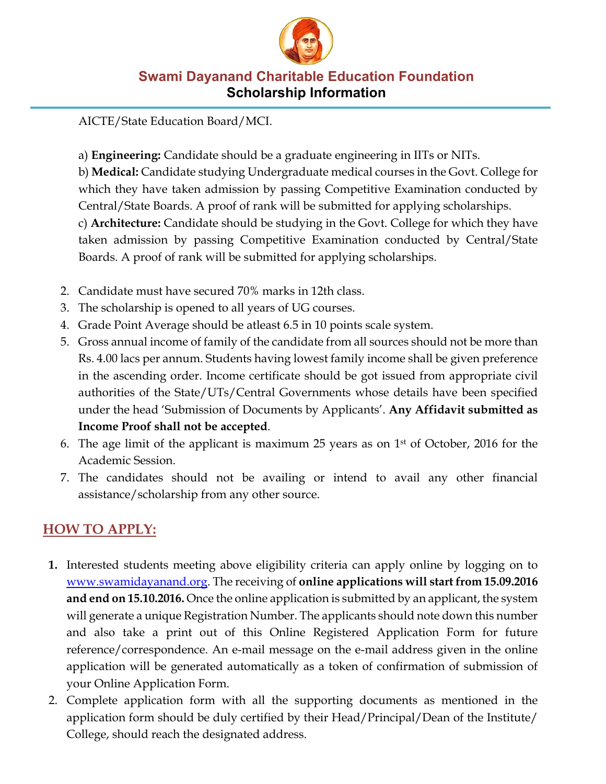

AICTE/State Education Board/MCI.

a) **Engineering:** Candidate should be a graduate engineering in IITs or NITs.

b) **Medical:** Candidate studying Undergraduate medical courses in the Govt. College for which they have taken admission by passing Competitive Examination conducted by Central/State Boards. A proof of rank will be submitted for applying scholarships. c) **Architecture:** Candidate should be studying in the Govt. College for which they have taken admission by passing Competitive Examination conducted by Central/State Boards. A proof of rank will be submitted for applying scholarships.

- 2. Candidate must have secured 70% marks in 12th class.
- 3. The scholarship is opened to all years of UG courses.
- 4. Grade Point Average should be atleast 6.5 in 10 points scale system.
- 5. Gross annual income of family of the candidate from all sources should not be more than Rs. 4.00 lacs per annum. Students having lowest family income shall be given preference in the ascending order. Income certificate should be got issued from appropriate civil authorities of the State/UTs/Central Governments whose details have been specified under the head 'Submission of Documents by Applicants'. **Any Affidavit submitted as Income Proof shall not be accepted**.
- 6. The age limit of the applicant is maximum 25 years as on  $1<sup>st</sup>$  of October, 2016 for the Academic Session.
- 7. The candidates should not be availing or intend to avail any other financial assistance/scholarship from any other source.

# **HOW TO APPLY:**

- **1.** Interested students meeting above eligibility criteria can apply online by logging on to www.swamidayanand.org. The receiving of **online applications will start from 15.09.2016 and end on 15.10.2016.** Once the online application is submitted by an applicant, the system will generate a unique Registration Number. The applicants should note down this number and also take a print out of this Online Registered Application Form for future reference/correspondence. An e-mail message on the e-mail address given in the online application will be generated automatically as a token of confirmation of submission of your Online Application Form.
- 2. Complete application form with all the supporting documents as mentioned in the application form should be duly certified by their Head/Principal/Dean of the Institute/ College, should reach the designated address.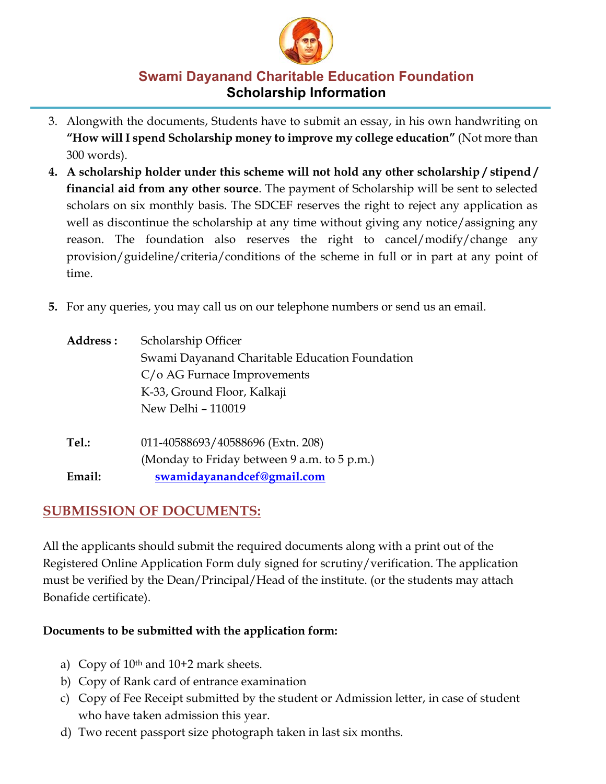

- 3. Alongwith the documents, Students have to submit an essay, in his own handwriting on **"How will I spend Scholarship money to improve my college education"** (Not more than 300 words).
- **4. A scholarship holder under this scheme will not hold any other scholarship / stipend / financial aid from any other source**. The payment of Scholarship will be sent to selected scholars on six monthly basis. The SDCEF reserves the right to reject any application as well as discontinue the scholarship at any time without giving any notice/assigning any reason. The foundation also reserves the right to cancel/modify/change any provision/guideline/criteria/conditions of the scheme in full or in part at any point of time.
- **5.** For any queries, you may call us on our telephone numbers or send us an email.

| Address : | Scholarship Officer                            |  |  |
|-----------|------------------------------------------------|--|--|
|           | Swami Dayanand Charitable Education Foundation |  |  |
|           | $C/\sigma$ AG Furnace Improvements             |  |  |
|           | K-33, Ground Floor, Kalkaji                    |  |  |
|           | New Delhi - 110019                             |  |  |
| Tel.:     | 011-40588693/40588696 (Extn. 208)              |  |  |
|           | (Monday to Friday between 9 a.m. to 5 p.m.)    |  |  |
| Email:    | swamidayanandcef@gmail.com                     |  |  |

# **SUBMISSION OF DOCUMENTS:**

All the applicants should submit the required documents along with a print out of the Registered Online Application Form duly signed for scrutiny/verification. The application must be verified by the Dean/Principal/Head of the institute. (or the students may attach Bonafide certificate).

#### **Documents to be submitted with the application form:**

- a) Copy of  $10<sup>th</sup>$  and  $10+2$  mark sheets.
- b) Copy of Rank card of entrance examination
- c) Copy of Fee Receipt submitted by the student or Admission letter, in case of student who have taken admission this year.
- d) Two recent passport size photograph taken in last six months.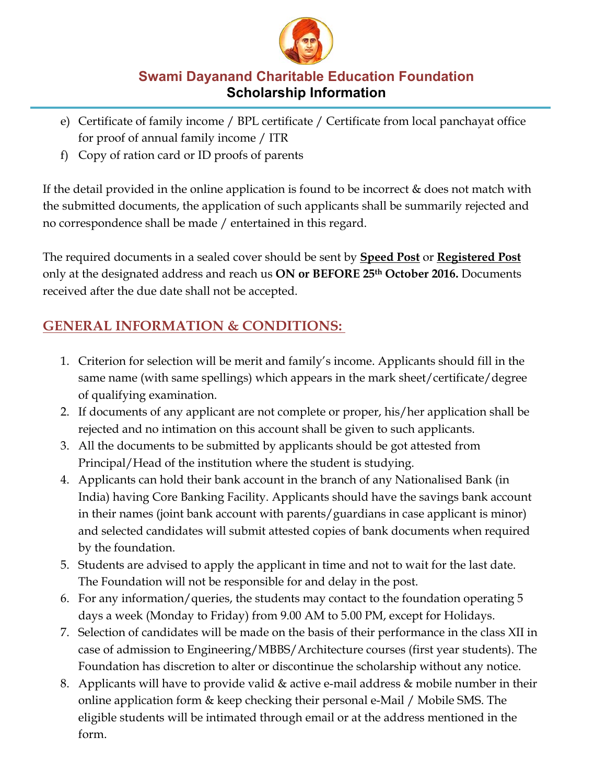

- e) Certificate of family income / BPL certificate / Certificate from local panchayat office for proof of annual family income / ITR
- f) Copy of ration card or ID proofs of parents

If the detail provided in the online application is found to be incorrect  $\&$  does not match with the submitted documents, the application of such applicants shall be summarily rejected and no correspondence shall be made / entertained in this regard.

The required documents in a sealed cover should be sent by **Speed Post** or **Registered Post** only at the designated address and reach us **ON or BEFORE 25th October 2016.** Documents received after the due date shall not be accepted.

# **GENERAL INFORMATION & CONDITIONS:**

- 1. Criterion for selection will be merit and family's income. Applicants should fill in the same name (with same spellings) which appears in the mark sheet/certificate/degree of qualifying examination.
- 2. If documents of any applicant are not complete or proper, his/her application shall be rejected and no intimation on this account shall be given to such applicants.
- 3. All the documents to be submitted by applicants should be got attested from Principal/Head of the institution where the student is studying.
- 4. Applicants can hold their bank account in the branch of any Nationalised Bank (in India) having Core Banking Facility. Applicants should have the savings bank account in their names (joint bank account with parents/guardians in case applicant is minor) and selected candidates will submit attested copies of bank documents when required by the foundation.
- 5. Students are advised to apply the applicant in time and not to wait for the last date. The Foundation will not be responsible for and delay in the post.
- 6. For any information/queries, the students may contact to the foundation operating 5 days a week (Monday to Friday) from 9.00 AM to 5.00 PM, except for Holidays.
- 7. Selection of candidates will be made on the basis of their performance in the class XII in case of admission to Engineering/MBBS/Architecture courses (first year students). The Foundation has discretion to alter or discontinue the scholarship without any notice.
- 8. Applicants will have to provide valid  $\&$  active e-mail address  $\&$  mobile number in their online application form & keep checking their personal e-Mail / Mobile SMS. The eligible students will be intimated through email or at the address mentioned in the form.